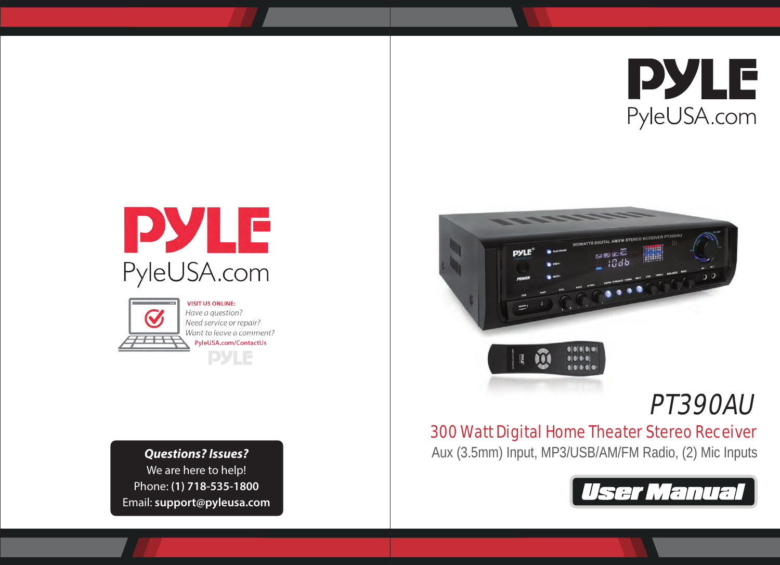





**VISIT US ONLINE:** Have a question? Need service or repair? Want to leave a comment? PyleUSA.com/ContactUs **PYLE** 

We are here to help! Phone: **(1) 718-535-1800** Email: **support@pyleusa.com**



# PT390AU

# 300 Watt Digital Home Theater Stereo Receiver

**Questions? Issues?** Aux (3.5mm) Input, MP3/USB/AM/FM Radio, (2) Mic Inputs

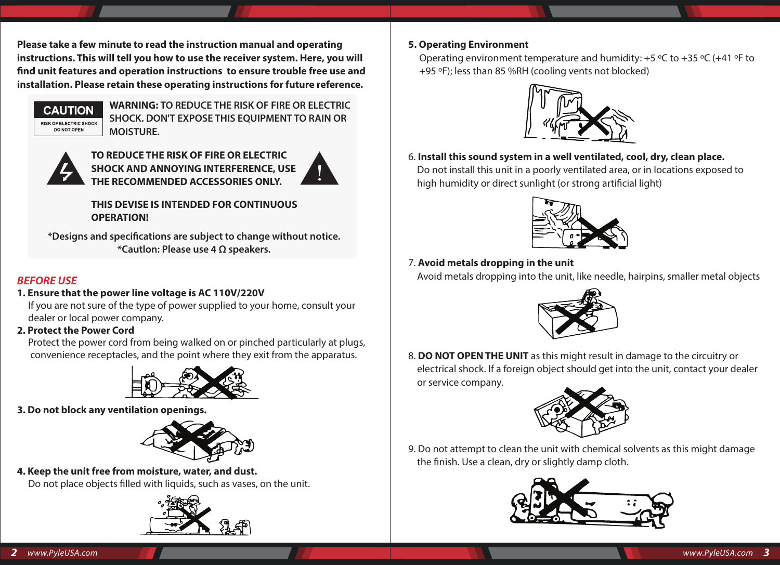**Please take a few minute to read the instruction manual and operating instructions. This will tell you how to use the receiver system. Here, you will nd unit features and operation instructions to ensure trouble free use and installation. Please retain these operating instructions for future reference.**



**WARNING: TO REDUCE THE RISK OF FIRE OR ELECTRIC SHOCK. DON'T EXPOSE THIS EQUIPMENT TO RAIN OR MOISTURE.**



**TO REDUCE THE RISK OF FIRE OR ELECTRIC SHOCK AND ANNOYING INTERFERENCE, USE THE RECOMMENDED ACCESSORIES ONLY.**

# **THIS DEVISE IS INTENDED FOR CONTINUOUS OPERATION!**

**\*Designs and specications are subject to change without notice. \*Cautlon: Please use 4 Ω speakers.**

# *BEFORE USE*

# **1. Ensure that the power line voltage is AC 110V/220V**

 If you are not sure of the type of power supplied to your home, consult your dealer or local power company.

# **2. Protect the Power Cord**

 Protect the power cord from being walked on or pinched particularly at plugs, convenience receptacles, and the point where they exit from the apparatus.



# **3. Do not block any ventilation openings.**



### **4. Keep the unit free from moisture, water, and dust.** Do not place objects filled with liquids, such as vases, on the unit.



### **5. Operating Environment**

Operating environment temperature and humidity:  $+5$  °C to  $+35$  °C ( $+41$  °F to +95 ºF); less than 85 %RH (cooling vents not blocked)



6. **Install this sound system in a well ventilated, cool, dry, clean place.** Do not install this unit in a poorly ventilated area, or in locations exposed to high humidity or direct sunlight (or strong artificial light)



# 7. **Avoid metals dropping in the unit**

Avoid metals dropping into the unit, like needle, hairpins, smaller metal objects



8. **DO NOT OPEN THE UNIT** as this might result in damage to the circuitry or electrical shock. If a foreign object should get into the unit, contact your dealer or service company.



9. Do not attempt to clean the unit with chemical solvents as this might damage the finish. Use a clean, dry or slightly damp cloth.

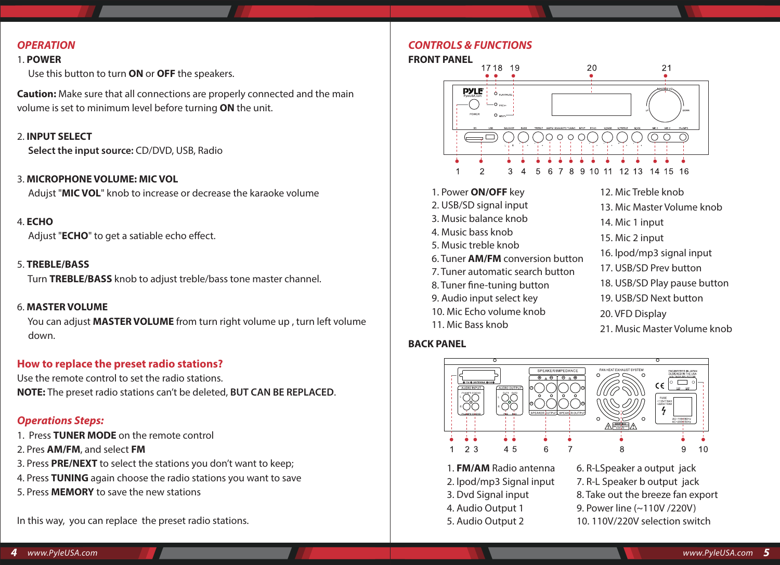### *OPERATION*

#### 1. **POWER**

Use this button to turn **ON** or **OFF** the speakers.

**Caution:** Make sure that all connections are properly connected and the main volume is set to minimum level before turning **ON** the unit.

#### 2. **INPUT SELECT**

**Select the input source:** CD/DVD, USB, Radio

#### 3. **MICROPHONE VOLUME: MIC VOL**

Adujst "**MIC VOL**" knob to increase or decrease the karaoke volume

#### 4. **ECHO**

Adjust "**ECHO**" to get a satiable echo effect.

#### 5. **TREBLE/BASS**

Turn **TREBLE/BASS** knob to adjust treble/bass tone master channel.

#### 6. **MASTER VOLUME**

 You can adjust **MASTER VOLUME** from turn right volume up , turn left volume down.

### **How to replace the preset radio stations?**

Use the remote control to set the radio stations. **NOTE:** The preset radio stations can't be deleted, **BUT CAN BE REPLACED**.

#### *Operations Steps:*

- 1. Press **TUNER MODE** on the remote control
- 2. Pres **AM/FM**, and select **FM**
- 3. Press **PRE/NEXT** to select the stations you don't want to keep;
- 4. Press **TUNING** again choose the radio stations you want to save
- 5. Press **MEMORY** to save the new stations

In this way, you can replace the preset radio stations.

#### *CONTROLS & FUNCTIONS*

#### **FRONT PANEL**



1. Power **ON/OFF** key

- 2. USB/SD signal input
- 3. Music balance knob
- 4. Music bass knob
- 5. Music treble knob
- 6. Tuner **AM/FM** conversion button
- 7. Tuner automatic search button
- 8. Tuner fine-tuning button
- 9. Audio input select key
- 10. Mic Echo volume knob
- 11. Mic Bass knob

#### **BACK PANEL**

- 12. Mic Treble knob
- 13. Mic Master Volume knob
- 14. Mic 1 input
- 15. Mic 2 input
- 16. lpod/mp3 signal input
- 17. USB/SD Prev button
- 18. USB/SD Play pause button
- 19. USB/SD Next button
- 20. VFD Display
- 21. Music Master Volume knob



1. **FM/AM** Radio antenna 2. lpod/mp3 Signal input 3. Dvd Signal input 4. Audio Output 1 5. Audio Output 2

6. R-LSpeaker a output jack 7. R-L Speaker b output jack 8. Take out the breeze fan export 9. Power line (~110V /220V) 10. 110V/220V selection switch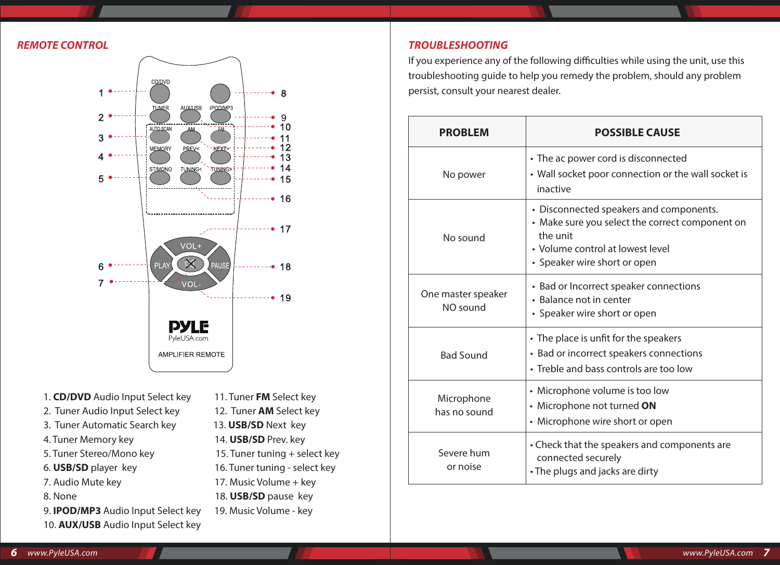

- 1. **CD/DVD** Audio Input Select key 11. Tuner **FM** Select key
- 2. Tuner Audio Input Select key 12. Tuner **AM** Select key
- 3. Tuner Automatic Search key 13. **USB/SD** Next key
- 4. Tuner Memory key 14. **USB/SD** Prev. key
- 
- 
- 
- 
- 9. **IPOD/MP3** Audio Input Select key 19. Music Volume key
- 10. **AUX/USB** Audio Input Select key
- 
- 
- 5. Tuner Stereo/Mono key 15. Tuner tuning + select key
- 6. **USB/SD** player key 16. Tuner tuning select key
- 7. Audio Mute key 17. Music Volume + key
- 8. None 18. **USB/SD** pause key
	-
	-
- 

#### *REMOTE CONTROL TROUBLESHOOTING*

If you experience any of the following difficulties while using the unit, use this troubleshooting guide to help you remedy the problem, should any problem persist, consult your nearest dealer.

| <b>PROBLEM</b>                 | <b>POSSIBLE CAUSE</b>                                                                                                                                                      |
|--------------------------------|----------------------------------------------------------------------------------------------------------------------------------------------------------------------------|
| No power                       | • The ac power cord is disconnected<br>• Wall socket poor connection or the wall socket is<br>inactive                                                                     |
| No sound                       | • Disconnected speakers and components.<br>• Make sure you select the correct component on<br>the unit<br>• Volume control at lowest level<br>• Speaker wire short or open |
| One master speaker<br>NO sound | • Bad or Incorrect speaker connections<br>• Balance not in center<br>• Speaker wire short or open                                                                          |
| <b>Bad Sound</b>               | • The place is unfit for the speakers<br>• Bad or incorrect speakers connections<br>• Treble and bass controls are too low                                                 |
| Microphone<br>has no sound     | • Microphone volume is too low<br>• Microphone not turned ON<br>• Microphone wire short or open                                                                            |
| Severe hum<br>or noise         | • Check that the speakers and components are<br>connected securely<br>• The plugs and jacks are dirty                                                                      |